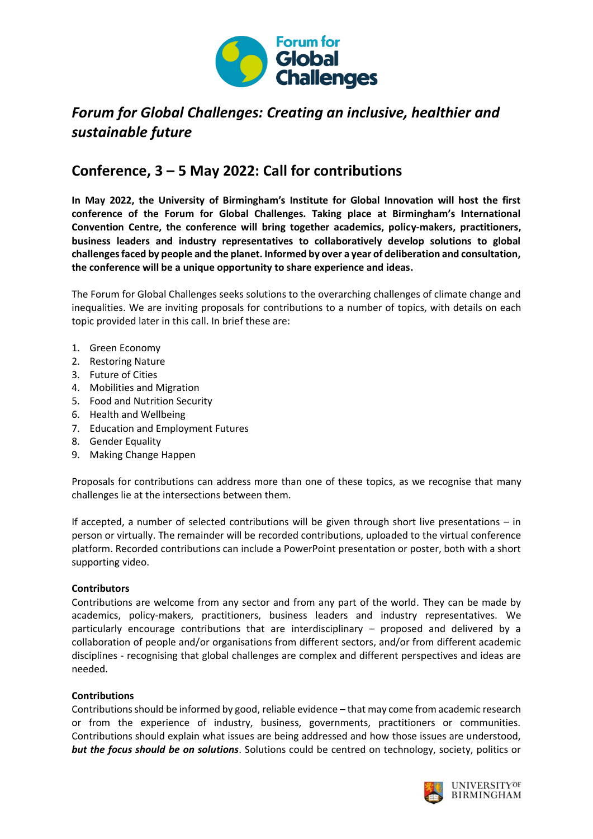

# *Forum for Global Challenges: Creating an inclusive, healthier and sustainable future*

## **Conference, 3 – 5 May 2022: Call for contributions**

**In May 2022, the University of Birmingham's Institute for Global Innovation will host the first conference of the Forum for Global Challenges. Taking place at Birmingham's International Convention Centre, the conference will bring together academics, policy-makers, practitioners, business leaders and industry representatives to collaboratively develop solutions to global challenges faced by people and the planet. Informed by over a year of deliberation and consultation, the conference will be a unique opportunity to share experience and ideas.**

The Forum for Global Challenges seeks solutions to the overarching challenges of climate change and inequalities. We are inviting proposals for contributions to a number of topics, with details on each topic provided later in this call. In brief these are:

- 1. Green Economy
- 2. Restoring Nature
- 3. Future of Cities
- 4. Mobilities and Migration
- 5. Food and Nutrition Security
- 6. Health and Wellbeing
- 7. Education and Employment Futures
- 8. Gender Equality
- 9. Making Change Happen

Proposals for contributions can address more than one of these topics, as we recognise that many challenges lie at the intersections between them.

If accepted, a number of selected contributions will be given through short live presentations – in person or virtually. The remainder will be recorded contributions, uploaded to the virtual conference platform. Recorded contributions can include a PowerPoint presentation or poster, both with a short supporting video.

## **Contributors**

Contributions are welcome from any sector and from any part of the world. They can be made by academics, policy-makers, practitioners, business leaders and industry representatives. We particularly encourage contributions that are interdisciplinary – proposed and delivered by a collaboration of people and/or organisations from different sectors, and/or from different academic disciplines - recognising that global challenges are complex and different perspectives and ideas are needed.

## **Contributions**

Contributions should be informed by good, reliable evidence – that may come from academic research or from the experience of industry, business, governments, practitioners or communities. Contributions should explain what issues are being addressed and how those issues are understood, *but the focus should be on solutions*. Solutions could be centred on technology, society, politics or

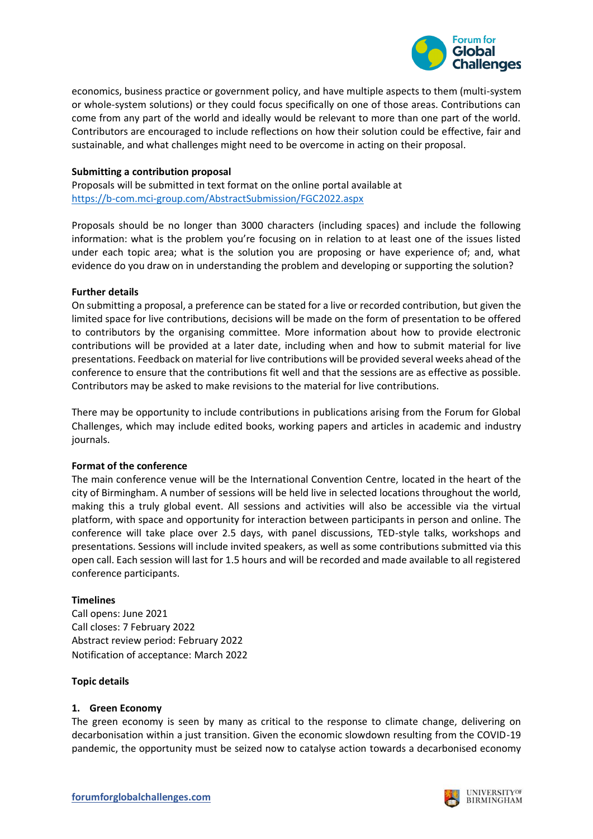

economics, business practice or government policy, and have multiple aspects to them (multi-system or whole-system solutions) or they could focus specifically on one of those areas. Contributions can come from any part of the world and ideally would be relevant to more than one part of the world. Contributors are encouraged to include reflections on how their solution could be effective, fair and sustainable, and what challenges might need to be overcome in acting on their proposal.

## **Submitting a contribution proposal**

Proposals will be submitted in text format on the online portal available at <https://b-com.mci-group.com/AbstractSubmission/FGC2022.aspx>

Proposals should be no longer than 3000 characters (including spaces) and include the following information: what is the problem you're focusing on in relation to at least one of the issues listed under each topic area; what is the solution you are proposing or have experience of; and, what evidence do you draw on in understanding the problem and developing or supporting the solution?

## **Further details**

On submitting a proposal, a preference can be stated for a live or recorded contribution, but given the limited space for live contributions, decisions will be made on the form of presentation to be offered to contributors by the organising committee. More information about how to provide electronic contributions will be provided at a later date, including when and how to submit material for live presentations. Feedback on material for live contributions will be provided several weeks ahead of the conference to ensure that the contributions fit well and that the sessions are as effective as possible. Contributors may be asked to make revisions to the material for live contributions.

There may be opportunity to include contributions in publications arising from the Forum for Global Challenges, which may include edited books, working papers and articles in academic and industry journals.

## **Format of the conference**

The main conference venue will be the International Convention Centre, located in the heart of the city of Birmingham. A number of sessions will be held live in selected locations throughout the world, making this a truly global event. All sessions and activities will also be accessible via the virtual platform, with space and opportunity for interaction between participants in person and online. The conference will take place over 2.5 days, with panel discussions, TED-style talks, workshops and presentations. Sessions will include invited speakers, as well as some contributions submitted via this open call. Each session will last for 1.5 hours and will be recorded and made available to all registered conference participants.

## **Timelines**

Call opens: June 2021 Call closes: 7 February 2022 Abstract review period: February 2022 Notification of acceptance: March 2022

## **Topic details**

## **1. Green Economy**

The green economy is seen by many as critical to the response to climate change, delivering on decarbonisation within a just transition. Given the economic slowdown resulting from the COVID-19 pandemic, the opportunity must be seized now to catalyse action towards a decarbonised economy



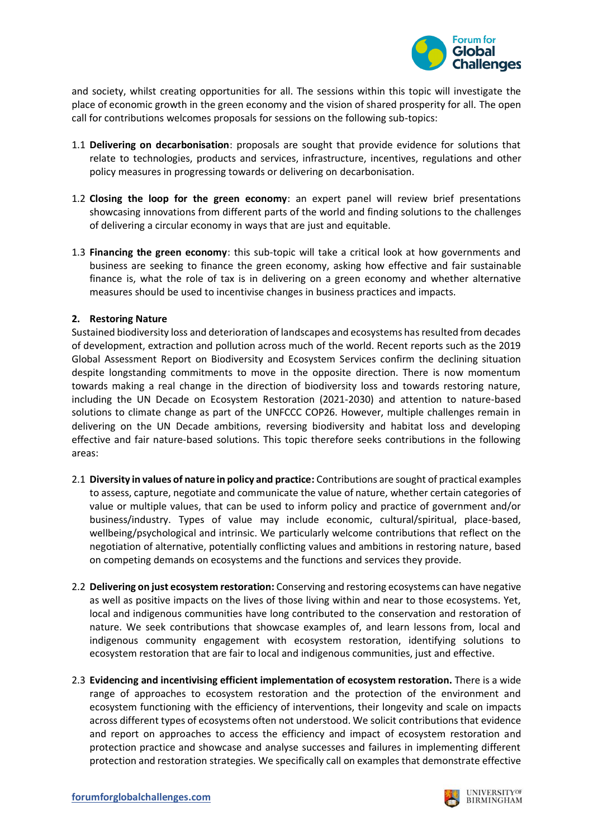

and society, whilst creating opportunities for all. The sessions within this topic will investigate the place of economic growth in the green economy and the vision of shared prosperity for all. The open call for contributions welcomes proposals for sessions on the following sub-topics:

- 1.1 **Delivering on decarbonisation**: proposals are sought that provide evidence for solutions that relate to technologies, products and services, infrastructure, incentives, regulations and other policy measures in progressing towards or delivering on decarbonisation.
- 1.2 **Closing the loop for the green economy**: an expert panel will review brief presentations showcasing innovations from different parts of the world and finding solutions to the challenges of delivering a circular economy in ways that are just and equitable.
- 1.3 **Financing the green economy**: this sub-topic will take a critical look at how governments and business are seeking to finance the green economy, asking how effective and fair sustainable finance is, what the role of tax is in delivering on a green economy and whether alternative measures should be used to incentivise changes in business practices and impacts.

## **2. Restoring Nature**

Sustained biodiversity loss and deterioration of landscapes and ecosystems has resulted from decades of development, extraction and pollution across much of the world. Recent reports such as the 2019 Global Assessment Report on Biodiversity and Ecosystem Services confirm the declining situation despite longstanding commitments to move in the opposite direction. There is now momentum towards making a real change in the direction of biodiversity loss and towards restoring nature, including the UN Decade on Ecosystem Restoration (2021-2030) and attention to nature-based solutions to climate change as part of the UNFCCC COP26. However, multiple challenges remain in delivering on the UN Decade ambitions, reversing biodiversity and habitat loss and developing effective and fair nature-based solutions. This topic therefore seeks contributions in the following areas:

- 2.1 **Diversity in values of nature in policy and practice:** Contributions are sought of practical examples to assess, capture, negotiate and communicate the value of nature, whether certain categories of value or multiple values, that can be used to inform policy and practice of government and/or business/industry. Types of value may include economic, cultural/spiritual, place-based, wellbeing/psychological and intrinsic. We particularly welcome contributions that reflect on the negotiation of alternative, potentially conflicting values and ambitions in restoring nature, based on competing demands on ecosystems and the functions and services they provide.
- 2.2 **Delivering on just ecosystem restoration:** Conserving and restoring ecosystems can have negative as well as positive impacts on the lives of those living within and near to those ecosystems. Yet, local and indigenous communities have long contributed to the conservation and restoration of nature. We seek contributions that showcase examples of, and learn lessons from, local and indigenous community engagement with ecosystem restoration, identifying solutions to ecosystem restoration that are fair to local and indigenous communities, just and effective.
- 2.3 **Evidencing and incentivising efficient implementation of ecosystem restoration.** There is a wide range of approaches to ecosystem restoration and the protection of the environment and ecosystem functioning with the efficiency of interventions, their longevity and scale on impacts across different types of ecosystems often not understood. We solicit contributions that evidence and report on approaches to access the efficiency and impact of ecosystem restoration and protection practice and showcase and analyse successes and failures in implementing different protection and restoration strategies. We specifically call on examples that demonstrate effective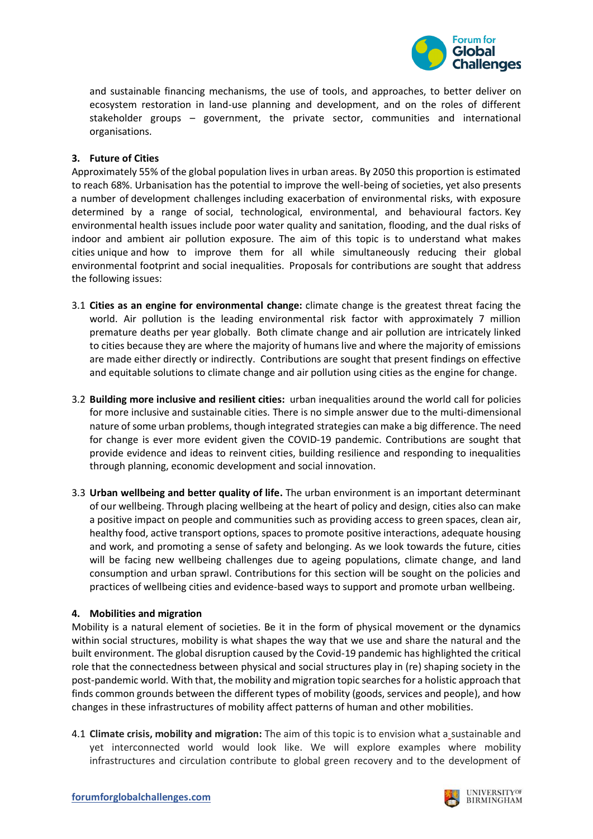

and sustainable financing mechanisms, the use of tools, and approaches, to better deliver on ecosystem restoration in land-use planning and development, and on the roles of different stakeholder groups – government, the private sector, communities and international organisations.

## **3. Future of Cities**

Approximately 55% of the global population lives in urban areas. By 2050 this proportion is estimated to reach 68%. Urbanisation has the potential to improve the well-being of societies, yet also presents a number of development challenges including exacerbation of environmental risks, with exposure determined by a range of social, technological, environmental, and behavioural factors. Key environmental health issues include poor water quality and sanitation, flooding, and the dual risks of indoor and ambient air pollution exposure. The aim of this topic is to understand what makes cities unique and how to improve them for all while simultaneously reducing their global environmental footprint and social inequalities. Proposals for contributions are sought that address the following issues:

- 3.1 **Cities as an engine for environmental change:** climate change is the greatest threat facing the world. Air pollution is the leading environmental risk factor with approximately 7 million premature deaths per year globally. Both climate change and air pollution are intricately linked to cities because they are where the majority of humans live and where the majority of emissions are made either directly or indirectly. Contributions are sought that present findings on effective and equitable solutions to climate change and air pollution using cities as the engine for change.
- 3.2 **Building more inclusive and resilient cities:** urban inequalities around the world call for policies for more inclusive and sustainable cities. There is no simple answer due to the multi-dimensional nature of some urban problems, though integrated strategies can make a big difference. The need for change is ever more evident given the COVID-19 pandemic. Contributions are sought that provide evidence and ideas to reinvent cities, building resilience and responding to inequalities through planning, economic development and social innovation.
- 3.3 **Urban wellbeing and better quality of life.** The urban environment is an important determinant of our wellbeing. Through placing wellbeing at the heart of policy and design, cities also can make a positive impact on people and communities such as providing access to green spaces, clean air, healthy food, active transport options, spaces to promote positive interactions, adequate housing and work, and promoting a sense of safety and belonging. As we look towards the future, cities will be facing new wellbeing challenges due to ageing populations, climate change, and land consumption and urban sprawl. Contributions for this section will be sought on the policies and practices of wellbeing cities and evidence-based ways to support and promote urban wellbeing.

## **4. Mobilities and migration**

Mobility is a natural element of societies. Be it in the form of physical movement or the dynamics within social structures, mobility is what shapes the way that we use and share the natural and the built environment. The global disruption caused by the Covid-19 pandemic has highlighted the critical role that the connectedness between physical and social structures play in (re) shaping society in the post-pandemic world. With that, the mobility and migration topic searches for a holistic approach that finds common grounds between the different types of mobility (goods, services and people), and how changes in these infrastructures of mobility affect patterns of human and other mobilities.

4.1 **Climate crisis, mobility and migration:** The aim of this topic is to envision what a sustainable and yet interconnected world would look like. We will explore examples where mobility infrastructures and circulation contribute to global green recovery and to the development of

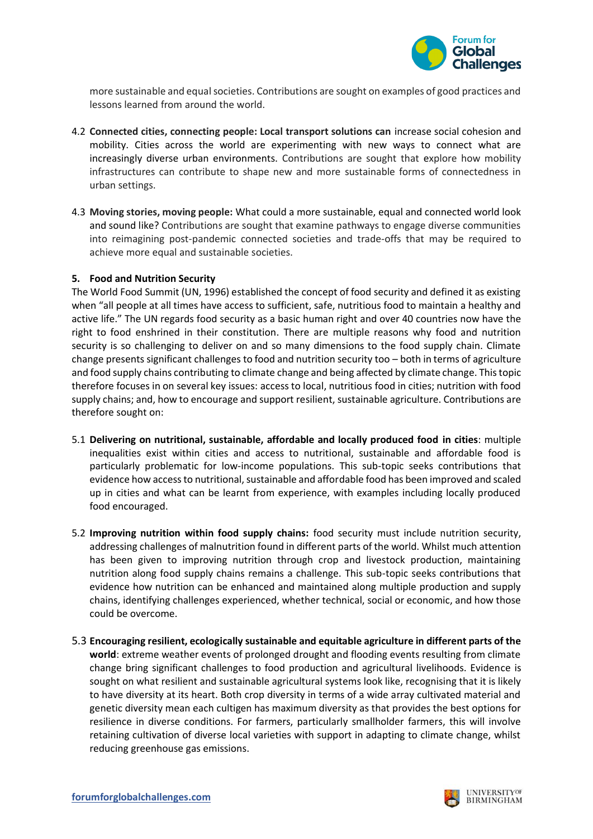

more sustainable and equal societies. Contributions are sought on examples of good practices and lessons learned from around the world.

- 4.2 **Connected cities, connecting people: Local transport solutions can** increase social cohesion and mobility. Cities across the world are experimenting with new ways to connect what are increasingly diverse urban environments. Contributions are sought that explore how mobility infrastructures can contribute to shape new and more sustainable forms of connectedness in urban settings.
- 4.3 **Moving stories, moving people:** What could a more sustainable, equal and connected world look and sound like? Contributions are sought that examine pathways to engage diverse communities into reimagining post-pandemic connected societies and trade-offs that may be required to achieve more equal and sustainable societies.

## **5. Food and Nutrition Security**

The World Food Summit (UN, 1996) established the concept of food security and defined it as existing when "all people at all times have access to sufficient, safe, nutritious food to maintain a healthy and active life." The UN regards food security as a basic human right and over 40 countries now have the right to food enshrined in their constitution. There are multiple reasons why food and nutrition security is so challenging to deliver on and so many dimensions to the food supply chain. Climate change presents significant challenges to food and nutrition security too – both in terms of agriculture and food supply chains contributing to climate change and being affected by climate change. This topic therefore focuses in on several key issues: access to local, nutritious food in cities; nutrition with food supply chains; and, how to encourage and support resilient, sustainable agriculture. Contributions are therefore sought on:

- 5.1 **Delivering on nutritional, sustainable, affordable and locally produced food in cities**: multiple inequalities exist within cities and access to nutritional, sustainable and affordable food is particularly problematic for low-income populations. This sub-topic seeks contributions that evidence how access to nutritional, sustainable and affordable food has been improved and scaled up in cities and what can be learnt from experience, with examples including locally produced food encouraged.
- 5.2 **Improving nutrition within food supply chains:** food security must include nutrition security, addressing challenges of malnutrition found in different parts of the world. Whilst much attention has been given to improving nutrition through crop and livestock production, maintaining nutrition along food supply chains remains a challenge. This sub-topic seeks contributions that evidence how nutrition can be enhanced and maintained along multiple production and supply chains, identifying challenges experienced, whether technical, social or economic, and how those could be overcome.
- 5.3 **Encouraging resilient, ecologically sustainable and equitable agriculture in different parts of the world**: extreme weather events of prolonged drought and flooding events resulting from climate change bring significant challenges to food production and agricultural livelihoods. Evidence is sought on what resilient and sustainable agricultural systems look like, recognising that it is likely to have diversity at its heart. Both crop diversity in terms of a wide array cultivated material and genetic diversity mean each cultigen has maximum diversity as that provides the best options for resilience in diverse conditions. For farmers, particularly smallholder farmers, this will involve retaining cultivation of diverse local varieties with support in adapting to climate change, whilst reducing greenhouse gas emissions.

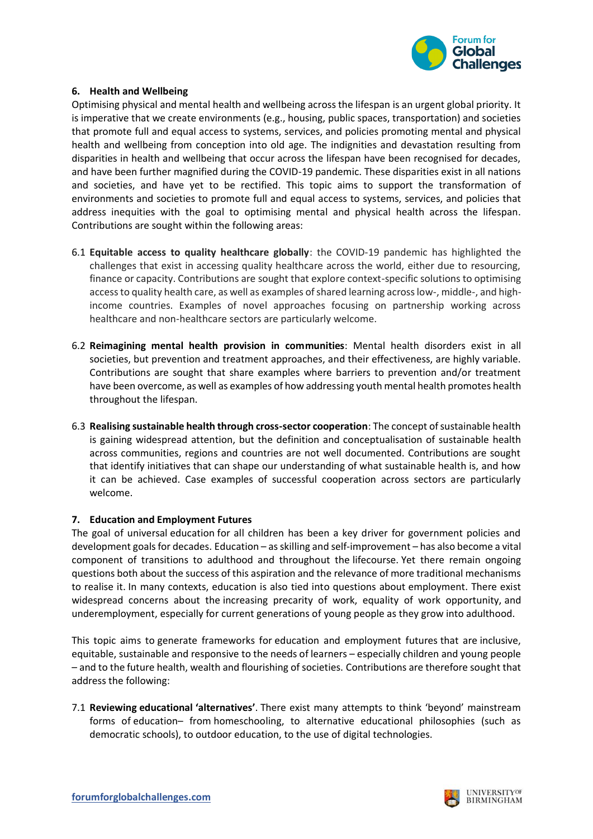

## **6. Health and Wellbeing**

Optimising physical and mental health and wellbeing across the lifespan is an urgent global priority. It is imperative that we create environments (e.g., housing, public spaces, transportation) and societies that promote full and equal access to systems, services, and policies promoting mental and physical health and wellbeing from conception into old age. The indignities and devastation resulting from disparities in health and wellbeing that occur across the lifespan have been recognised for decades, and have been further magnified during the COVID-19 pandemic. These disparities exist in all nations and societies, and have yet to be rectified. This topic aims to support the transformation of environments and societies to promote full and equal access to systems, services, and policies that address inequities with the goal to optimising mental and physical health across the lifespan. Contributions are sought within the following areas:

- 6.1 **Equitable access to quality healthcare globally**: the COVID-19 pandemic has highlighted the challenges that exist in accessing quality healthcare across the world, either due to resourcing, finance or capacity. Contributions are sought that explore context-specific solutions to optimising access to quality health care, as well as examples of shared learning across low-, middle-, and highincome countries. Examples of novel approaches focusing on partnership working across healthcare and non-healthcare sectors are particularly welcome.
- 6.2 **Reimagining mental health provision in communities**: Mental health disorders exist in all societies, but prevention and treatment approaches, and their effectiveness, are highly variable. Contributions are sought that share examples where barriers to prevention and/or treatment have been overcome, as well as examples of how addressing youth mental health promotes health throughout the lifespan.
- 6.3 **Realising sustainable health through cross-sector cooperation**: The concept of sustainable health is gaining widespread attention, but the definition and conceptualisation of sustainable health across communities, regions and countries are not well documented. Contributions are sought that identify initiatives that can shape our understanding of what sustainable health is, and how it can be achieved. Case examples of successful cooperation across sectors are particularly welcome.

## **7. Education and Employment Futures**

The goal of universal education for all children has been a key driver for government policies and development goals for decades. Education – as skilling and self-improvement – has also become a vital component of transitions to adulthood and throughout the lifecourse. Yet there remain ongoing questions both about the success of this aspiration and the relevance of more traditional mechanisms to realise it. In many contexts, education is also tied into questions about employment. There exist widespread concerns about the increasing precarity of work, equality of work opportunity, and underemployment, especially for current generations of young people as they grow into adulthood.

This topic aims to generate frameworks for education and employment futures that are inclusive, equitable, sustainable and responsive to the needs of learners – especially children and young people – and to the future health, wealth and flourishing of societies. Contributions are therefore sought that address the following:

7.1 **Reviewing educational 'alternatives'**. There exist many attempts to think 'beyond' mainstream forms of education– from homeschooling, to alternative educational philosophies (such as democratic schools), to outdoor education, to the use of digital technologies.

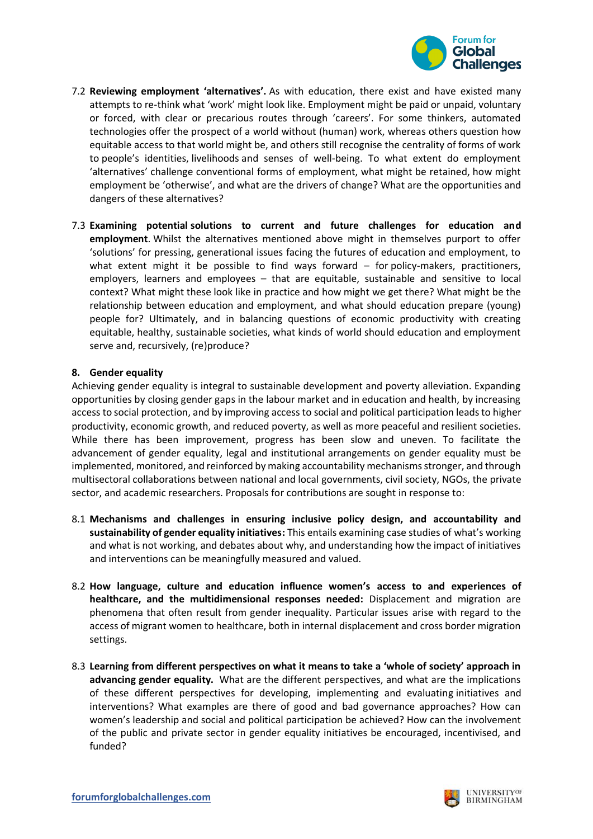

- 7.2 **Reviewing employment 'alternatives'.** As with education, there exist and have existed many attempts to re-think what 'work' might look like. Employment might be paid or unpaid, voluntary or forced, with clear or precarious routes through 'careers'. For some thinkers, automated technologies offer the prospect of a world without (human) work, whereas others question how equitable access to that world might be, and others still recognise the centrality of forms of work to people's identities, livelihoods and senses of well-being. To what extent do employment 'alternatives' challenge conventional forms of employment, what might be retained, how might employment be 'otherwise', and what are the drivers of change? What are the opportunities and dangers of these alternatives?
- 7.3 **Examining potential solutions to current and future challenges for education and employment**. Whilst the alternatives mentioned above might in themselves purport to offer 'solutions' for pressing, generational issues facing the futures of education and employment, to what extent might it be possible to find ways forward – for policy-makers, practitioners, employers, learners and employees – that are equitable, sustainable and sensitive to local context? What might these look like in practice and how might we get there? What might be the relationship between education and employment, and what should education prepare (young) people for? Ultimately, and in balancing questions of economic productivity with creating equitable, healthy, sustainable societies, what kinds of world should education and employment serve and, recursively, (re)produce?

## **8. Gender equality**

Achieving gender equality is integral to sustainable development and poverty alleviation. Expanding opportunities by closing gender gaps in the labour market and in education and health, by increasing access to social protection, and by improving access to social and political participation leads to higher productivity, economic growth, and reduced poverty, as well as more peaceful and resilient societies. While there has been improvement, progress has been slow and uneven. To facilitate the advancement of gender equality, legal and institutional arrangements on gender equality must be implemented, monitored, and reinforced by making accountability mechanisms stronger, and through multisectoral collaborations between national and local governments, civil society, NGOs, the private sector, and academic researchers. Proposals for contributions are sought in response to:

- 8.1 **Mechanisms and challenges in ensuring inclusive policy design, and accountability and sustainability of gender equality initiatives:** This entails examining case studies of what's working and what is not working, and debates about why, and understanding how the impact of initiatives and interventions can be meaningfully measured and valued.
- 8.2 **How language, culture and education influence women's access to and experiences of healthcare, and the multidimensional responses needed:** Displacement and migration are phenomena that often result from gender inequality. Particular issues arise with regard to the access of migrant women to healthcare, both in internal displacement and cross border migration settings.
- 8.3 **Learning from different perspectives on what it means to take a 'whole of society' approach in advancing gender equality.** What are the different perspectives, and what are the implications of these different perspectives for developing, implementing and evaluating initiatives and interventions? What examples are there of good and bad governance approaches? How can women's leadership and social and political participation be achieved? How can the involvement of the public and private sector in gender equality initiatives be encouraged, incentivised, and funded?